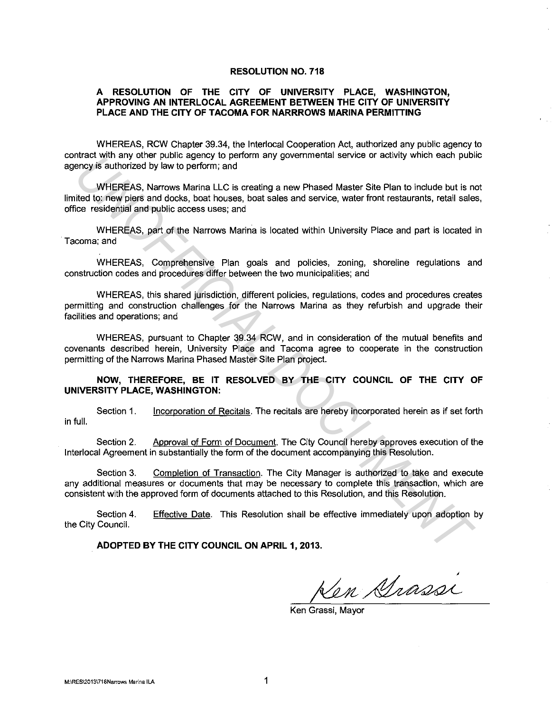## **RESOLUTION NO. 718**

## **A RESOLUTION OF THE CITY OF UNIVERSITY PLACE, WASHINGTON, APPROVING AN INTERLOCAL AGREEMENT BETWEEN THE CITY OF UNIVERSITY PLACE AND THE CITY OF TACOMA FOR NARRROWS MARINA PERMITTING**

WHEREAS, RCW Chapter 39.34, the lnterlocal Cooperation Act, authorized any public agency to contract with any other public agency to perform any governmental service or activity which each public agency is authorized by law to perform; and

WHEREAS, Narrows Marina LLC is creating a new Phased Master Site Plan to include but is not limited to: new piers and docks, boat houses, boat sales and service, water front restaurants, retail sales, office residential and public access uses; and moteur was any one-particle agency to perform any governmental service or socivity which easer publicity where public perform and documental and probable and documents and WHEREAS, Narrows Marina LC is creating a new Phase

WHEREAS, part of the Narrows Marina is located within University Place and part is located in Tacoma; and

WHEREAS, Comprehensive Plan goals and policies, zoning, shoreline regulations and construction codes and procedures differ between the two municipalities; and

WHEREAS, this shared jurisdiction, different policies, regulations, codes and procedures creates permitting and construction challenges for the Narrows Marina as they refurbish and upgrade their facilities and operations; and

WHEREAS, pursuant to Chapter 39.34 RCW, and in consideration of the mutual benefits and covenants described herein, University Place and Tacoma agree to cooperate in the construction permitting of the Narrows Marina Phased Master Site Plan project.

## **NOW, THEREFORE, BE IT RESOLVED BY THE CITY COUNCIL OF THE CITY OF UNIVERSITY PLACE, WASHINGTON:**

Section 1. Incorporation of Recitals. The recitals are hereby incorporated herein as if set forth in full.

Section 2. Approval of Form of Document. The City Council hereby approves execution of the lnterlocal Agreement in substantially the form of the document accompanying this Resolution.

Section 3. Completion of Transaction. The City Manager is authorized to take and execute any additional measures or documents that may be necessary to complete this transaction, which are consistent with the approved form of documents attached to this Resolution, and this Resolution.

Section 4. the City Council. Effective Date. This Resolution shall be effective immediately upon adoption by

**ADOPTED BY THE CITY COUNCIL ON APRIL 1, 2013.** 

Ken Srassi

Ken Grassi, Mayor